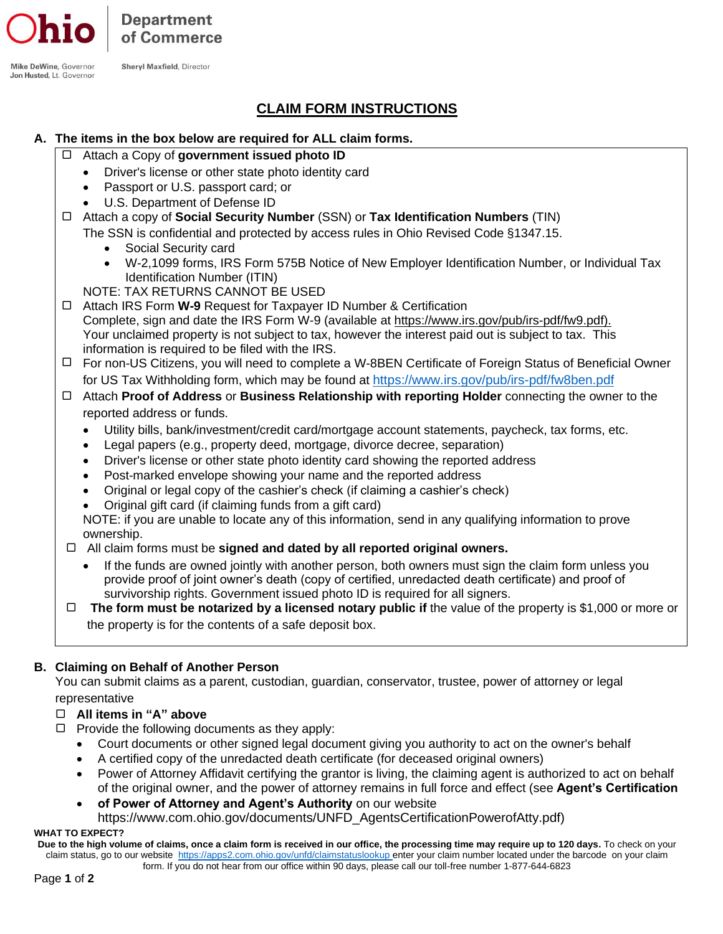**Department** of Commerce

**Shervl Maxfield, Director** 

Mike DeWine, Governor Jon Husted, Lt. Governor

# **CLAIM FORM INSTRUCTIONS**

## **A. The items in the box below are required for ALL claim forms.**

- Attach a Copy of **government issued photo ID**
	- Driver's license or other state photo identity card
	- Passport or U.S. passport card; or
	- U.S. Department of Defense ID
- Attach a copy of **Social Security Number** (SSN) or **Tax Identification Numbers** (TIN)

The SSN is confidential and protected by access rules in Ohio Revised Code §1347.15.

- Social Security card
- W-2,1099 forms, IRS Form 575B Notice of New Employer Identification Number, or Individual Tax Identification Number (ITIN)
- NOTE: TAX RETURNS CANNOT BE USED
- Attach IRS Form **W-9** Request for Taxpayer ID Number & Certification Complete, sign and date the IRS Form W-9 (available at [https://www.irs.gov/pub/irs-pdf/fw9.pdf\)](https://www.irs.gov/pub/irs-pdf/fw9.pdf). Your unclaimed property is not subject to tax, however the interest paid out is subject to tax. This information is required to be filed with the IRS.
- For non-US Citizens, you will need to complete a W-8BEN Certificate of Foreign Status of Beneficial Owner for US Tax Withholding form, which may be found at <https://www.irs.gov/pub/irs-pdf/fw8ben.pdf>
- Attach **Proof of Address** or **Business Relationship with reporting Holder** connecting the owner to the reported address or funds.
	- Utility bills, bank/investment/credit card/mortgage account statements, paycheck, tax forms, etc.
	- Legal papers (e.g., property deed, mortgage, divorce decree, separation)
	- Driver's license or other state photo identity card showing the reported address
	- Post-marked envelope showing your name and the reported address
	- Original or legal copy of the cashier's check (if claiming a cashier's check)
	- Original gift card (if claiming funds from a gift card)

NOTE: if you are unable to locate any of this information, send in any qualifying information to prove ownership.

- All claim forms must be **signed and dated by all reported original owners.**
	- If the funds are owned jointly with another person, both owners must sign the claim form unless you provide proof of joint owner's death (copy of certified, unredacted death certificate) and proof of survivorship rights. Government issued photo ID is required for all signers.
- **The form must be notarized by a licensed notary public if** the value of the property is \$1,000 or more or the property is for the contents of a safe deposit box.

## **B. Claiming on Behalf of Another Person**

You can submit claims as a parent, custodian, guardian, conservator, trustee, power of attorney or legal representative

## **All items in "A" above**

- $\Box$  Provide the following documents as they apply:
	- Court documents or other signed legal document giving you authority to act on the owner's behalf
	- A certified copy of the unredacted death certificate (for deceased original owners)
	- Power of Attorney Affidavit certifying the grantor is living, the claiming agent is authorized to act on behalf of the original owner, and the power of attorney remains in full force and effect (see **Agent's Certification**
	- **of Power of Attorney and Agent's Authority** on our website
	- https://www.com.ohio.gov/documents/UNFD\_AgentsCertificationPowerofAtty.pdf)

#### **WHAT TO EXPECT?**

**Due to the high volume of claims, once a claim form is received in our office, the processing time may require up to 120 days.** To check on your claim status, go to our website <https://apps2.com.ohio.gov/unfd/claimstatuslookup> enter your claim number located under the barcode on your claim form. If you do not hear from our office within 90 days, please call our toll-free number 1-877-644-6823